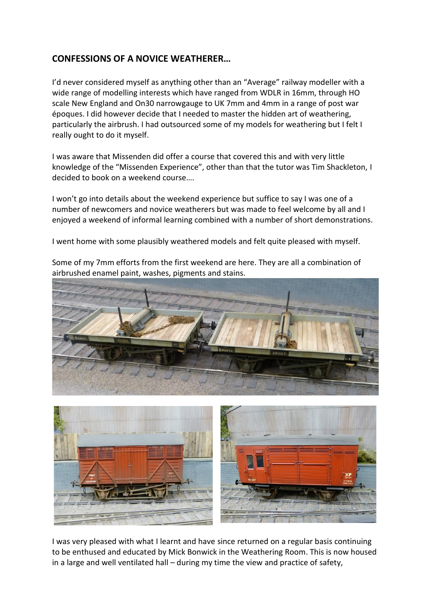## **CONFESSIONS OF A NOVICE WEATHERER…**

I'd never considered myself as anything other than an "Average" railway modeller with a wide range of modelling interests which have ranged from WDLR in 16mm, through HO scale New England and On30 narrowgauge to UK 7mm and 4mm in a range of post war époques. I did however decide that I needed to master the hidden art of weathering, particularly the airbrush. I had outsourced some of my models for weathering but I felt I really ought to do it myself.

I was aware that Missenden did offer a course that covered this and with very little knowledge of the "Missenden Experience", other than that the tutor was Tim Shackleton, I decided to book on a weekend course….

I won't go into details about the weekend experience but suffice to say I was one of a number of newcomers and novice weatherers but was made to feel welcome by all and I enjoyed a weekend of informal learning combined with a number of short demonstrations.

I went home with some plausibly weathered models and felt quite pleased with myself.

Some of my 7mm efforts from the first weekend are here. They are all a combination of airbrushed enamel paint, washes, pigments and stains.





I was very pleased with what I learnt and have since returned on a regular basis continuing to be enthused and educated by Mick Bonwick in the Weathering Room. This is now housed in a large and well ventilated hall – during my time the view and practice of safety,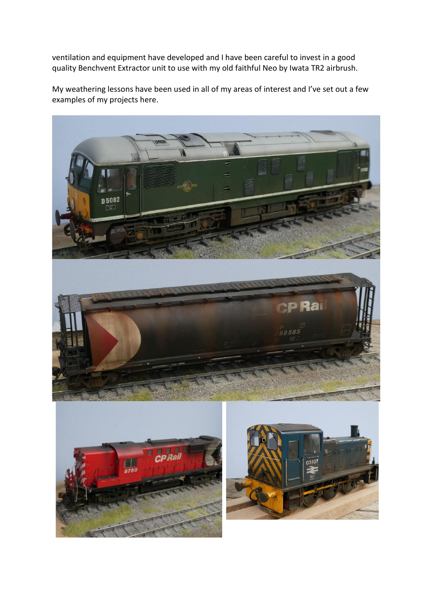ventilation and equipment have developed and I have been careful to invest in a good quality Benchvent Extractor unit to use with my old faithful Neo by Iwata TR2 airbrush.

My weathering lessons have been used in all of my areas of interest and I've set out a few examples of my projects here.